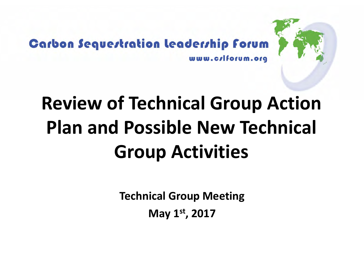

#### **Carbon Sequestration leadership forum** www.crlforum.org

### **Review of Technical Group Action Plan and Possible New Technical Group Activities**

**Technical Group Meeting**

**May 1st, 2017**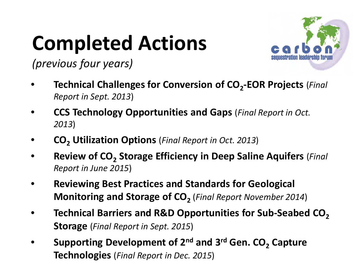## **Completed Actions**



*(previous four years)*

- **Technical Challenges for Conversion of CO<sub>2</sub>-EOR Projects** (*Final Report in Sept. 2013*)
- **CCS Technology Opportunities and Gaps** (*Final Report in Oct. 2013*)
- **CO2 Utilization Options** (*Final Report in Oct. 2013*)
- **Review of CO<sub>2</sub> Storage Efficiency in Deep Saline Aquifers** (*Final Report in June 2015*)
- **Reviewing Best Practices and Standards for Geological Monitoring and Storage of CO**<sub>2</sub> (*Final Report November 2014*)
- **Technical Barriers and R&D Opportunities for Sub-Seabed CO<sub>2</sub> Storage** (*Final Report in Sept. 2015*)
- **Supporting Development of 2<sup>nd</sup> and 3<sup>rd</sup> Gen. CO<sub>2</sub> Capture Technologies** (*Final Report in Dec. 2015*)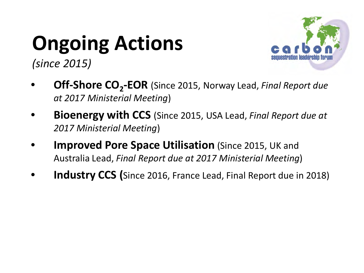# **Ongoing Actions**



*(since 2015)*

- **Off-Shore CO<sub>2</sub>-EOR** (Since 2015, Norway Lead, *Final Report due at 2017 Ministerial Meeting*)
- **Bioenergy with CCS** (Since 2015, USA Lead, *Final Report due at 2017 Ministerial Meeting*)
- **Improved Pore Space Utilisation** (Since 2015, UK and Australia Lead, *Final Report due at 2017 Ministerial Meeting*)
- **Industry CCS (**Since 2016, France Lead, Final Report due in 2018)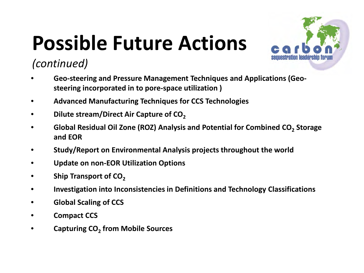## **Possible Future Actions**



### *(continued)*

- **Geo-steering and Pressure Management Techniques and Applications (Geosteering incorporated in to pore-space utilization )**
- **Advanced Manufacturing Techniques for CCS Technologies**
- **Dilute stream/Direct Air Capture of CO**<sub>2</sub>
- **•** Global Residual Oil Zone (ROZ) Analysis and Potential for Combined CO<sub>2</sub> Storage **and EOR**
- **Study/Report on Environmental Analysis projects throughout the world**
- **Update on non-EOR Utilization Options**
- Ship Transport of CO<sub>2</sub>
- **Investigation into Inconsistencies in Definitions and Technology Classifications**
- **Global Scaling of CCS**
- **Compact CCS**
- **Capturing CO2 from Mobile Sources**